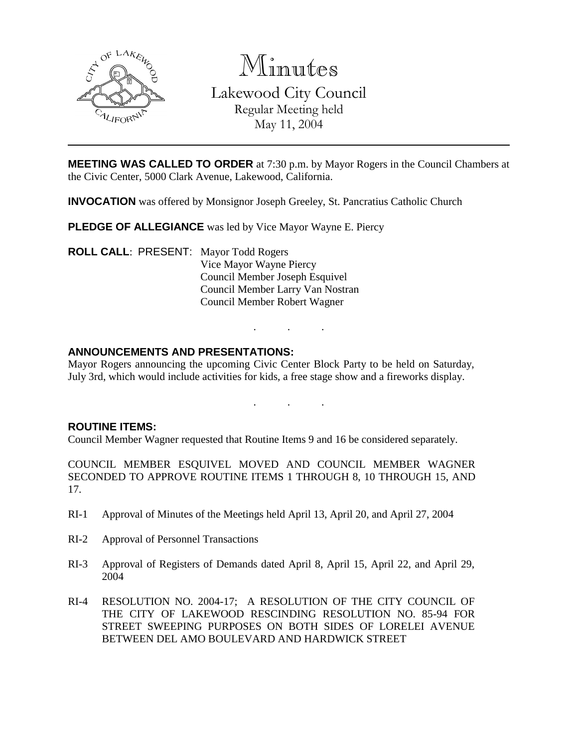

Minutes Lakewood City Council Regular Meeting held May 11, 2004

**MEETING WAS CALLED TO ORDER** at 7:30 p.m. by Mayor Rogers in the Council Chambers at the Civic Center, 5000 Clark Avenue, Lakewood, California.

**INVOCATION** was offered by Monsignor Joseph Greeley, St. Pancratius Catholic Church

**PLEDGE OF ALLEGIANCE** was led by Vice Mayor Wayne E. Piercy

**ROLL CALL**: PRESENT: Mayor Todd Rogers Vice Mayor Wayne Piercy Council Member Joseph Esquivel Council Member Larry Van Nostran Council Member Robert Wagner

### **ANNOUNCEMENTS AND PRESENTATIONS:**

Mayor Rogers announcing the upcoming Civic Center Block Party to be held on Saturday, July 3rd, which would include activities for kids, a free stage show and a fireworks display.

. . .

. . .

#### **ROUTINE ITEMS:**

Council Member Wagner requested that Routine Items 9 and 16 be considered separately.

COUNCIL MEMBER ESQUIVEL MOVED AND COUNCIL MEMBER WAGNER SECONDED TO APPROVE ROUTINE ITEMS 1 THROUGH 8, 10 THROUGH 15, AND 17.

- RI-1 Approval of Minutes of the Meetings held April 13, April 20, and April 27, 2004
- RI-2 Approval of Personnel Transactions
- RI-3 Approval of Registers of Demands dated April 8, April 15, April 22, and April 29, 2004
- RI-4 RESOLUTION NO. 2004-17; A RESOLUTION OF THE CITY COUNCIL OF THE CITY OF LAKEWOOD RESCINDING RESOLUTION NO. 85-94 FOR STREET SWEEPING PURPOSES ON BOTH SIDES OF LORELEI AVENUE BETWEEN DEL AMO BOULEVARD AND HARDWICK STREET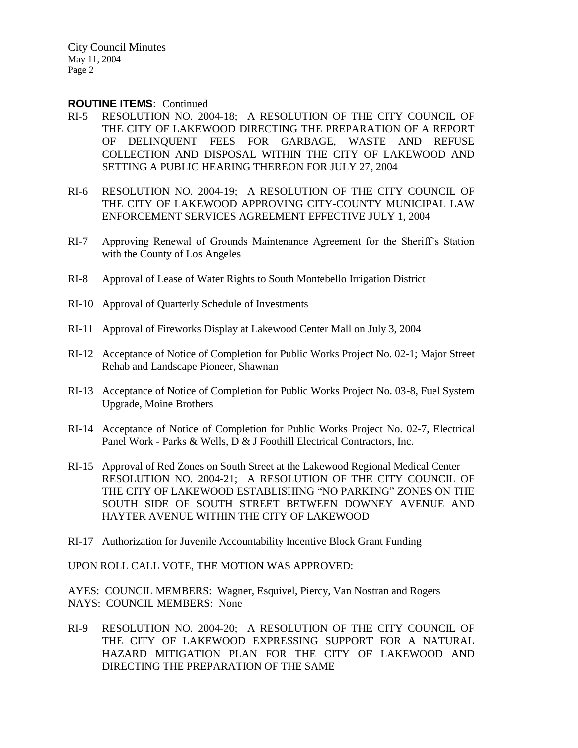#### **ROUTINE ITEMS:** Continued

- RI-5 RESOLUTION NO. 2004-18; A RESOLUTION OF THE CITY COUNCIL OF THE CITY OF LAKEWOOD DIRECTING THE PREPARATION OF A REPORT OF DELINQUENT FEES FOR GARBAGE, WASTE AND REFUSE COLLECTION AND DISPOSAL WITHIN THE CITY OF LAKEWOOD AND SETTING A PUBLIC HEARING THEREON FOR JULY 27, 2004
- RI-6 RESOLUTION NO. 2004-19; A RESOLUTION OF THE CITY COUNCIL OF THE CITY OF LAKEWOOD APPROVING CITY-COUNTY MUNICIPAL LAW ENFORCEMENT SERVICES AGREEMENT EFFECTIVE JULY 1, 2004
- RI-7 Approving Renewal of Grounds Maintenance Agreement for the Sheriff's Station with the County of Los Angeles
- RI-8 Approval of Lease of Water Rights to South Montebello Irrigation District
- RI-10 Approval of Quarterly Schedule of Investments
- RI-11 Approval of Fireworks Display at Lakewood Center Mall on July 3, 2004
- RI-12 Acceptance of Notice of Completion for Public Works Project No. 02-1; Major Street Rehab and Landscape Pioneer, Shawnan
- RI-13 Acceptance of Notice of Completion for Public Works Project No. 03-8, Fuel System Upgrade, Moine Brothers
- RI-14 Acceptance of Notice of Completion for Public Works Project No. 02-7, Electrical Panel Work - Parks & Wells, D & J Foothill Electrical Contractors, Inc.
- RI-15 Approval of Red Zones on South Street at the Lakewood Regional Medical Center RESOLUTION NO. 2004-21; A RESOLUTION OF THE CITY COUNCIL OF THE CITY OF LAKEWOOD ESTABLISHING "NO PARKING" ZONES ON THE SOUTH SIDE OF SOUTH STREET BETWEEN DOWNEY AVENUE AND HAYTER AVENUE WITHIN THE CITY OF LAKEWOOD
- RI-17 Authorization for Juvenile Accountability Incentive Block Grant Funding

UPON ROLL CALL VOTE, THE MOTION WAS APPROVED:

AYES: COUNCIL MEMBERS: Wagner, Esquivel, Piercy, Van Nostran and Rogers NAYS: COUNCIL MEMBERS: None

RI-9 RESOLUTION NO. 2004-20; A RESOLUTION OF THE CITY COUNCIL OF THE CITY OF LAKEWOOD EXPRESSING SUPPORT FOR A NATURAL HAZARD MITIGATION PLAN FOR THE CITY OF LAKEWOOD AND DIRECTING THE PREPARATION OF THE SAME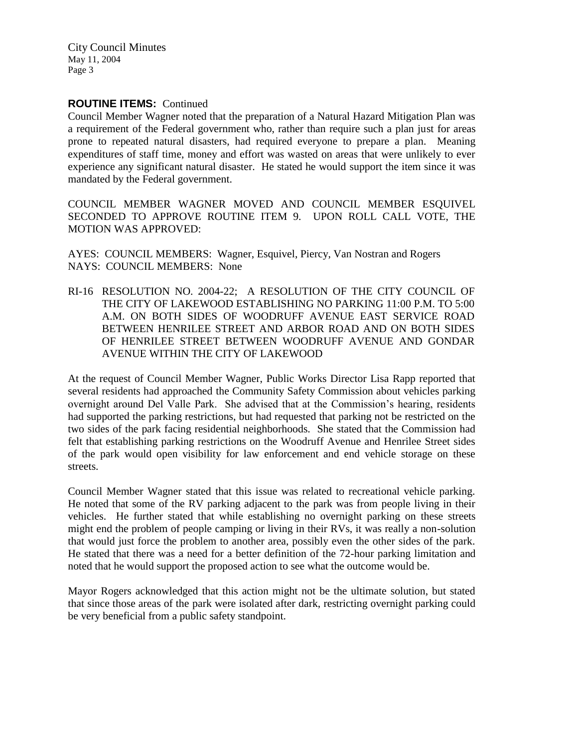### **ROUTINE ITEMS:** Continued

Council Member Wagner noted that the preparation of a Natural Hazard Mitigation Plan was a requirement of the Federal government who, rather than require such a plan just for areas prone to repeated natural disasters, had required everyone to prepare a plan. Meaning expenditures of staff time, money and effort was wasted on areas that were unlikely to ever experience any significant natural disaster. He stated he would support the item since it was mandated by the Federal government.

COUNCIL MEMBER WAGNER MOVED AND COUNCIL MEMBER ESQUIVEL SECONDED TO APPROVE ROUTINE ITEM 9. UPON ROLL CALL VOTE, THE MOTION WAS APPROVED:

AYES: COUNCIL MEMBERS: Wagner, Esquivel, Piercy, Van Nostran and Rogers NAYS: COUNCIL MEMBERS: None

RI-16 RESOLUTION NO. 2004-22; A RESOLUTION OF THE CITY COUNCIL OF THE CITY OF LAKEWOOD ESTABLISHING NO PARKING 11:00 P.M. TO 5:00 A.M. ON BOTH SIDES OF WOODRUFF AVENUE EAST SERVICE ROAD BETWEEN HENRILEE STREET AND ARBOR ROAD AND ON BOTH SIDES OF HENRILEE STREET BETWEEN WOODRUFF AVENUE AND GONDAR AVENUE WITHIN THE CITY OF LAKEWOOD

At the request of Council Member Wagner, Public Works Director Lisa Rapp reported that several residents had approached the Community Safety Commission about vehicles parking overnight around Del Valle Park. She advised that at the Commission's hearing, residents had supported the parking restrictions, but had requested that parking not be restricted on the two sides of the park facing residential neighborhoods. She stated that the Commission had felt that establishing parking restrictions on the Woodruff Avenue and Henrilee Street sides of the park would open visibility for law enforcement and end vehicle storage on these streets.

Council Member Wagner stated that this issue was related to recreational vehicle parking. He noted that some of the RV parking adjacent to the park was from people living in their vehicles. He further stated that while establishing no overnight parking on these streets might end the problem of people camping or living in their RVs, it was really a non-solution that would just force the problem to another area, possibly even the other sides of the park. He stated that there was a need for a better definition of the 72-hour parking limitation and noted that he would support the proposed action to see what the outcome would be.

Mayor Rogers acknowledged that this action might not be the ultimate solution, but stated that since those areas of the park were isolated after dark, restricting overnight parking could be very beneficial from a public safety standpoint.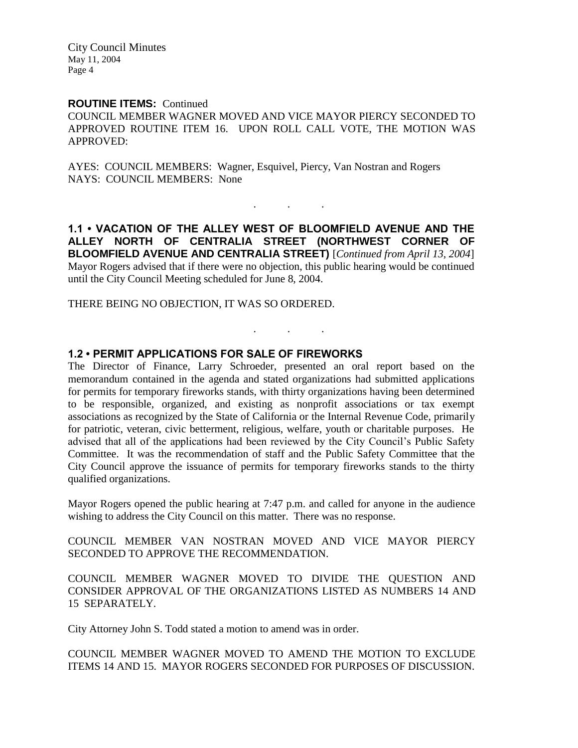### **ROUTINE ITEMS:** Continued

COUNCIL MEMBER WAGNER MOVED AND VICE MAYOR PIERCY SECONDED TO APPROVED ROUTINE ITEM 16. UPON ROLL CALL VOTE, THE MOTION WAS APPROVED:

AYES: COUNCIL MEMBERS: Wagner, Esquivel, Piercy, Van Nostran and Rogers NAYS: COUNCIL MEMBERS: None

**1.1 • VACATION OF THE ALLEY WEST OF BLOOMFIELD AVENUE AND THE ALLEY NORTH OF CENTRALIA STREET (NORTHWEST CORNER OF BLOOMFIELD AVENUE AND CENTRALIA STREET)** [*Continued from April 13, 2004*] Mayor Rogers advised that if there were no objection, this public hearing would be continued until the City Council Meeting scheduled for June 8, 2004.

. . .

. . .

THERE BEING NO OBJECTION, IT WAS SO ORDERED.

### **1.2 • PERMIT APPLICATIONS FOR SALE OF FIREWORKS**

The Director of Finance, Larry Schroeder, presented an oral report based on the memorandum contained in the agenda and stated organizations had submitted applications for permits for temporary fireworks stands, with thirty organizations having been determined to be responsible, organized, and existing as nonprofit associations or tax exempt associations as recognized by the State of California or the Internal Revenue Code, primarily for patriotic, veteran, civic betterment, religious, welfare, youth or charitable purposes. He advised that all of the applications had been reviewed by the City Council's Public Safety Committee. It was the recommendation of staff and the Public Safety Committee that the City Council approve the issuance of permits for temporary fireworks stands to the thirty qualified organizations.

Mayor Rogers opened the public hearing at 7:47 p.m. and called for anyone in the audience wishing to address the City Council on this matter. There was no response.

COUNCIL MEMBER VAN NOSTRAN MOVED AND VICE MAYOR PIERCY SECONDED TO APPROVE THE RECOMMENDATION.

COUNCIL MEMBER WAGNER MOVED TO DIVIDE THE QUESTION AND CONSIDER APPROVAL OF THE ORGANIZATIONS LISTED AS NUMBERS 14 AND 15 SEPARATELY.

City Attorney John S. Todd stated a motion to amend was in order.

COUNCIL MEMBER WAGNER MOVED TO AMEND THE MOTION TO EXCLUDE ITEMS 14 AND 15. MAYOR ROGERS SECONDED FOR PURPOSES OF DISCUSSION.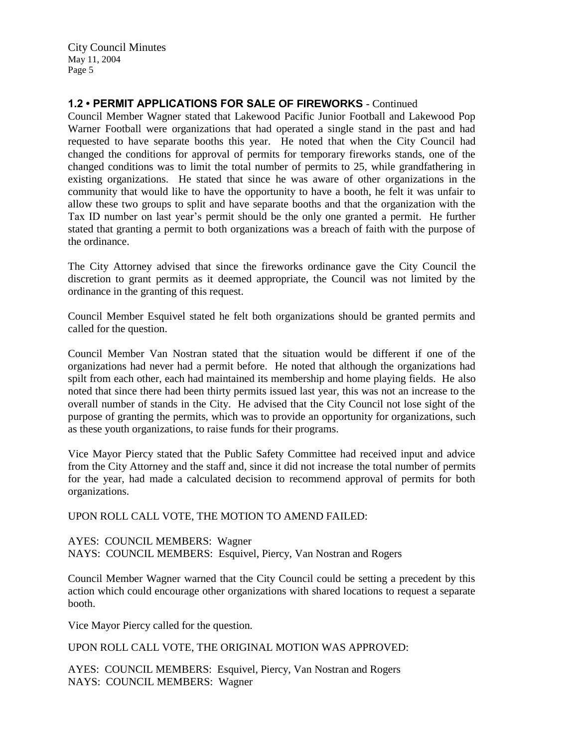## **1.2 • PERMIT APPLICATIONS FOR SALE OF FIREWORKS** - Continued

Council Member Wagner stated that Lakewood Pacific Junior Football and Lakewood Pop Warner Football were organizations that had operated a single stand in the past and had requested to have separate booths this year. He noted that when the City Council had changed the conditions for approval of permits for temporary fireworks stands, one of the changed conditions was to limit the total number of permits to 25, while grandfathering in existing organizations. He stated that since he was aware of other organizations in the community that would like to have the opportunity to have a booth, he felt it was unfair to allow these two groups to split and have separate booths and that the organization with the Tax ID number on last year's permit should be the only one granted a permit. He further stated that granting a permit to both organizations was a breach of faith with the purpose of the ordinance.

The City Attorney advised that since the fireworks ordinance gave the City Council the discretion to grant permits as it deemed appropriate, the Council was not limited by the ordinance in the granting of this request.

Council Member Esquivel stated he felt both organizations should be granted permits and called for the question.

Council Member Van Nostran stated that the situation would be different if one of the organizations had never had a permit before. He noted that although the organizations had spilt from each other, each had maintained its membership and home playing fields. He also noted that since there had been thirty permits issued last year, this was not an increase to the overall number of stands in the City. He advised that the City Council not lose sight of the purpose of granting the permits, which was to provide an opportunity for organizations, such as these youth organizations, to raise funds for their programs.

Vice Mayor Piercy stated that the Public Safety Committee had received input and advice from the City Attorney and the staff and, since it did not increase the total number of permits for the year, had made a calculated decision to recommend approval of permits for both organizations.

#### UPON ROLL CALL VOTE, THE MOTION TO AMEND FAILED:

AYES: COUNCIL MEMBERS: Wagner NAYS: COUNCIL MEMBERS: Esquivel, Piercy, Van Nostran and Rogers

Council Member Wagner warned that the City Council could be setting a precedent by this action which could encourage other organizations with shared locations to request a separate booth.

Vice Mayor Piercy called for the question.

UPON ROLL CALL VOTE, THE ORIGINAL MOTION WAS APPROVED:

AYES: COUNCIL MEMBERS: Esquivel, Piercy, Van Nostran and Rogers NAYS: COUNCIL MEMBERS: Wagner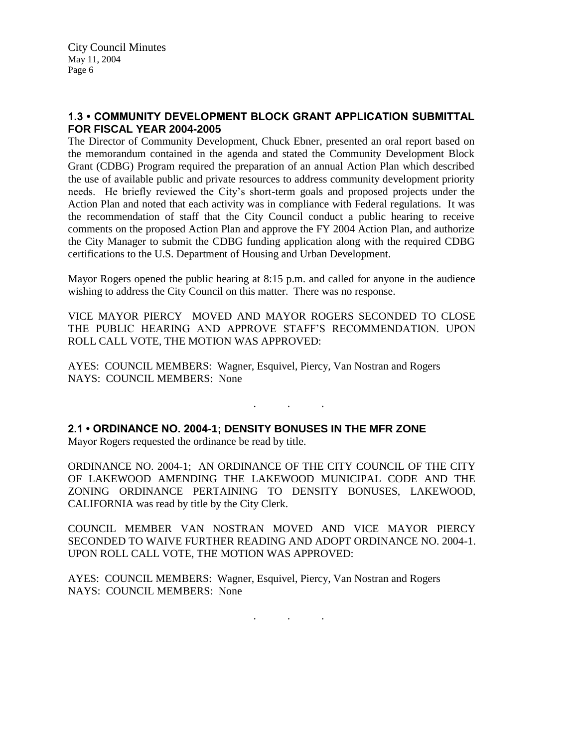## **1.3 • COMMUNITY DEVELOPMENT BLOCK GRANT APPLICATION SUBMITTAL FOR FISCAL YEAR 2004-2005**

The Director of Community Development, Chuck Ebner, presented an oral report based on the memorandum contained in the agenda and stated the Community Development Block Grant (CDBG) Program required the preparation of an annual Action Plan which described the use of available public and private resources to address community development priority needs. He briefly reviewed the City's short-term goals and proposed projects under the Action Plan and noted that each activity was in compliance with Federal regulations. It was the recommendation of staff that the City Council conduct a public hearing to receive comments on the proposed Action Plan and approve the FY 2004 Action Plan, and authorize the City Manager to submit the CDBG funding application along with the required CDBG certifications to the U.S. Department of Housing and Urban Development.

Mayor Rogers opened the public hearing at 8:15 p.m. and called for anyone in the audience wishing to address the City Council on this matter. There was no response.

VICE MAYOR PIERCY MOVED AND MAYOR ROGERS SECONDED TO CLOSE THE PUBLIC HEARING AND APPROVE STAFF'S RECOMMENDATION. UPON ROLL CALL VOTE, THE MOTION WAS APPROVED:

. As we have a set of  $\mathcal{A}$  , and  $\mathcal{A}$ 

AYES: COUNCIL MEMBERS: Wagner, Esquivel, Piercy, Van Nostran and Rogers NAYS: COUNCIL MEMBERS: None

**2.1 • ORDINANCE NO. 2004-1; DENSITY BONUSES IN THE MFR ZONE** Mayor Rogers requested the ordinance be read by title.

ORDINANCE NO. 2004-1; AN ORDINANCE OF THE CITY COUNCIL OF THE CITY OF LAKEWOOD AMENDING THE LAKEWOOD MUNICIPAL CODE AND THE ZONING ORDINANCE PERTAINING TO DENSITY BONUSES, LAKEWOOD, CALIFORNIA was read by title by the City Clerk.

COUNCIL MEMBER VAN NOSTRAN MOVED AND VICE MAYOR PIERCY SECONDED TO WAIVE FURTHER READING AND ADOPT ORDINANCE NO. 2004-1. UPON ROLL CALL VOTE, THE MOTION WAS APPROVED:

AYES: COUNCIL MEMBERS: Wagner, Esquivel, Piercy, Van Nostran and Rogers NAYS: COUNCIL MEMBERS: None

. . .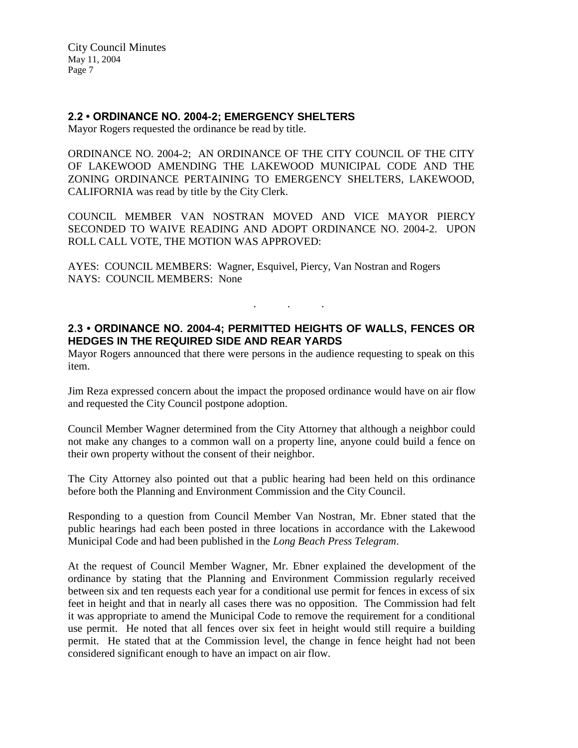### **2.2 • ORDINANCE NO. 2004-2; EMERGENCY SHELTERS**

Mayor Rogers requested the ordinance be read by title.

ORDINANCE NO. 2004-2; AN ORDINANCE OF THE CITY COUNCIL OF THE CITY OF LAKEWOOD AMENDING THE LAKEWOOD MUNICIPAL CODE AND THE ZONING ORDINANCE PERTAINING TO EMERGENCY SHELTERS, LAKEWOOD, CALIFORNIA was read by title by the City Clerk.

COUNCIL MEMBER VAN NOSTRAN MOVED AND VICE MAYOR PIERCY SECONDED TO WAIVE READING AND ADOPT ORDINANCE NO. 2004-2. UPON ROLL CALL VOTE, THE MOTION WAS APPROVED:

AYES: COUNCIL MEMBERS: Wagner, Esquivel, Piercy, Van Nostran and Rogers NAYS: COUNCIL MEMBERS: None

## **2.3 • ORDINANCE NO. 2004-4; PERMITTED HEIGHTS OF WALLS, FENCES OR HEDGES IN THE REQUIRED SIDE AND REAR YARDS**

. . .

Mayor Rogers announced that there were persons in the audience requesting to speak on this item.

Jim Reza expressed concern about the impact the proposed ordinance would have on air flow and requested the City Council postpone adoption.

Council Member Wagner determined from the City Attorney that although a neighbor could not make any changes to a common wall on a property line, anyone could build a fence on their own property without the consent of their neighbor.

The City Attorney also pointed out that a public hearing had been held on this ordinance before both the Planning and Environment Commission and the City Council.

Responding to a question from Council Member Van Nostran, Mr. Ebner stated that the public hearings had each been posted in three locations in accordance with the Lakewood Municipal Code and had been published in the *Long Beach Press Telegram*.

At the request of Council Member Wagner, Mr. Ebner explained the development of the ordinance by stating that the Planning and Environment Commission regularly received between six and ten requests each year for a conditional use permit for fences in excess of six feet in height and that in nearly all cases there was no opposition. The Commission had felt it was appropriate to amend the Municipal Code to remove the requirement for a conditional use permit. He noted that all fences over six feet in height would still require a building permit. He stated that at the Commission level, the change in fence height had not been considered significant enough to have an impact on air flow.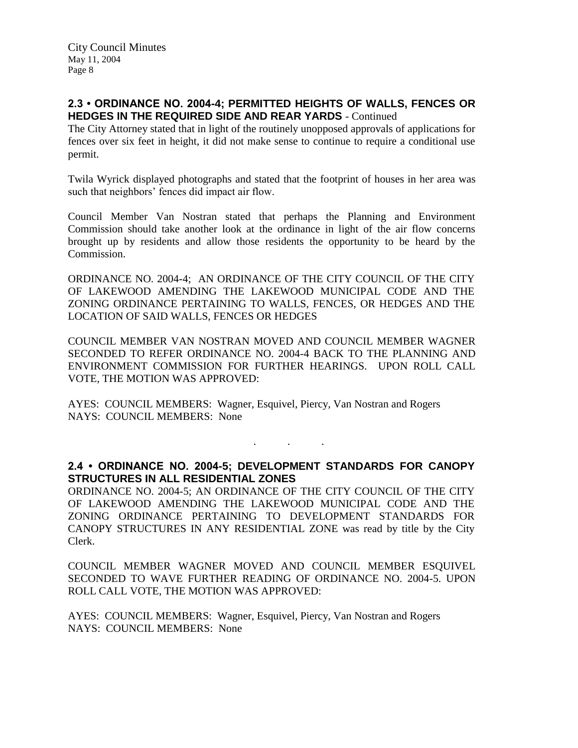### **2.3 • ORDINANCE NO. 2004-4; PERMITTED HEIGHTS OF WALLS, FENCES OR HEDGES IN THE REQUIRED SIDE AND REAR YARDS** - Continued

The City Attorney stated that in light of the routinely unopposed approvals of applications for fences over six feet in height, it did not make sense to continue to require a conditional use permit.

Twila Wyrick displayed photographs and stated that the footprint of houses in her area was such that neighbors' fences did impact air flow.

Council Member Van Nostran stated that perhaps the Planning and Environment Commission should take another look at the ordinance in light of the air flow concerns brought up by residents and allow those residents the opportunity to be heard by the Commission.

ORDINANCE NO. 2004-4; AN ORDINANCE OF THE CITY COUNCIL OF THE CITY OF LAKEWOOD AMENDING THE LAKEWOOD MUNICIPAL CODE AND THE ZONING ORDINANCE PERTAINING TO WALLS, FENCES, OR HEDGES AND THE LOCATION OF SAID WALLS, FENCES OR HEDGES

COUNCIL MEMBER VAN NOSTRAN MOVED AND COUNCIL MEMBER WAGNER SECONDED TO REFER ORDINANCE NO. 2004-4 BACK TO THE PLANNING AND ENVIRONMENT COMMISSION FOR FURTHER HEARINGS. UPON ROLL CALL VOTE, THE MOTION WAS APPROVED:

AYES: COUNCIL MEMBERS: Wagner, Esquivel, Piercy, Van Nostran and Rogers NAYS: COUNCIL MEMBERS: None

### **2.4 • ORDINANCE NO. 2004-5; DEVELOPMENT STANDARDS FOR CANOPY STRUCTURES IN ALL RESIDENTIAL ZONES**

. . .

ORDINANCE NO. 2004-5; AN ORDINANCE OF THE CITY COUNCIL OF THE CITY OF LAKEWOOD AMENDING THE LAKEWOOD MUNICIPAL CODE AND THE ZONING ORDINANCE PERTAINING TO DEVELOPMENT STANDARDS FOR CANOPY STRUCTURES IN ANY RESIDENTIAL ZONE was read by title by the City Clerk.

COUNCIL MEMBER WAGNER MOVED AND COUNCIL MEMBER ESQUIVEL SECONDED TO WAVE FURTHER READING OF ORDINANCE NO. 2004-5. UPON ROLL CALL VOTE, THE MOTION WAS APPROVED:

AYES: COUNCIL MEMBERS: Wagner, Esquivel, Piercy, Van Nostran and Rogers NAYS: COUNCIL MEMBERS: None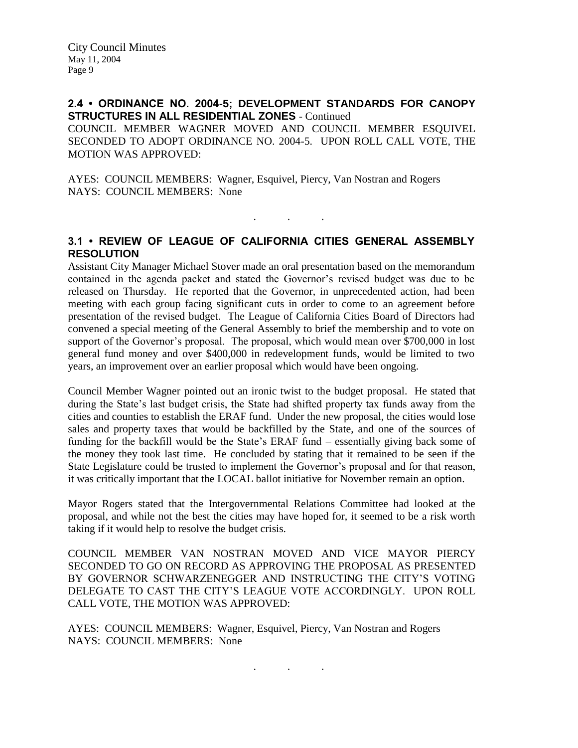### **2.4 • ORDINANCE NO. 2004-5; DEVELOPMENT STANDARDS FOR CANOPY STRUCTURES IN ALL RESIDENTIAL ZONES** - Continued

COUNCIL MEMBER WAGNER MOVED AND COUNCIL MEMBER ESQUIVEL SECONDED TO ADOPT ORDINANCE NO. 2004-5. UPON ROLL CALL VOTE, THE MOTION WAS APPROVED:

AYES: COUNCIL MEMBERS: Wagner, Esquivel, Piercy, Van Nostran and Rogers NAYS: COUNCIL MEMBERS: None

# **3.1 • REVIEW OF LEAGUE OF CALIFORNIA CITIES GENERAL ASSEMBLY RESOLUTION**

. . .

Assistant City Manager Michael Stover made an oral presentation based on the memorandum contained in the agenda packet and stated the Governor's revised budget was due to be released on Thursday. He reported that the Governor, in unprecedented action, had been meeting with each group facing significant cuts in order to come to an agreement before presentation of the revised budget. The League of California Cities Board of Directors had convened a special meeting of the General Assembly to brief the membership and to vote on support of the Governor's proposal. The proposal, which would mean over \$700,000 in lost general fund money and over \$400,000 in redevelopment funds, would be limited to two years, an improvement over an earlier proposal which would have been ongoing.

Council Member Wagner pointed out an ironic twist to the budget proposal. He stated that during the State's last budget crisis, the State had shifted property tax funds away from the cities and counties to establish the ERAF fund. Under the new proposal, the cities would lose sales and property taxes that would be backfilled by the State, and one of the sources of funding for the backfill would be the State's ERAF fund – essentially giving back some of the money they took last time. He concluded by stating that it remained to be seen if the State Legislature could be trusted to implement the Governor's proposal and for that reason, it was critically important that the LOCAL ballot initiative for November remain an option.

Mayor Rogers stated that the Intergovernmental Relations Committee had looked at the proposal, and while not the best the cities may have hoped for, it seemed to be a risk worth taking if it would help to resolve the budget crisis.

COUNCIL MEMBER VAN NOSTRAN MOVED AND VICE MAYOR PIERCY SECONDED TO GO ON RECORD AS APPROVING THE PROPOSAL AS PRESENTED BY GOVERNOR SCHWARZENEGGER AND INSTRUCTING THE CITY'S VOTING DELEGATE TO CAST THE CITY'S LEAGUE VOTE ACCORDINGLY. UPON ROLL CALL VOTE, THE MOTION WAS APPROVED:

. . .

AYES: COUNCIL MEMBERS: Wagner, Esquivel, Piercy, Van Nostran and Rogers NAYS: COUNCIL MEMBERS: None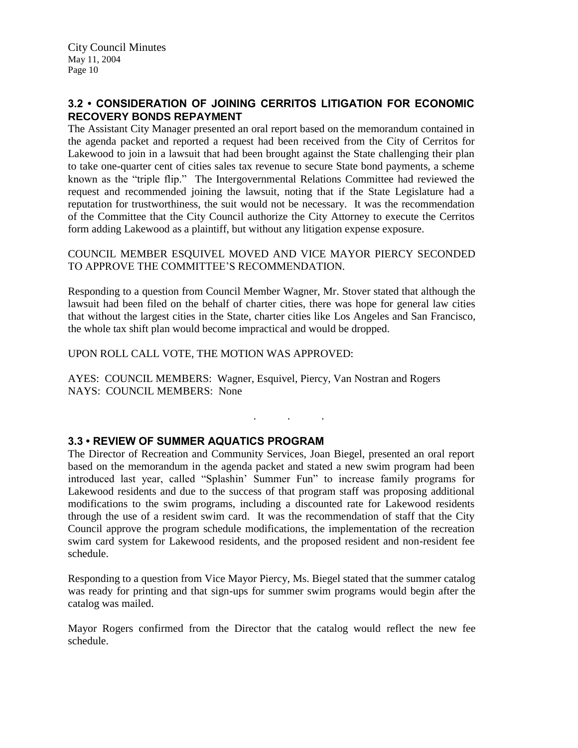## **3.2 • CONSIDERATION OF JOINING CERRITOS LITIGATION FOR ECONOMIC RECOVERY BONDS REPAYMENT**

The Assistant City Manager presented an oral report based on the memorandum contained in the agenda packet and reported a request had been received from the City of Cerritos for Lakewood to join in a lawsuit that had been brought against the State challenging their plan to take one-quarter cent of cities sales tax revenue to secure State bond payments, a scheme known as the "triple flip." The Intergovernmental Relations Committee had reviewed the request and recommended joining the lawsuit, noting that if the State Legislature had a reputation for trustworthiness, the suit would not be necessary. It was the recommendation of the Committee that the City Council authorize the City Attorney to execute the Cerritos form adding Lakewood as a plaintiff, but without any litigation expense exposure.

COUNCIL MEMBER ESQUIVEL MOVED AND VICE MAYOR PIERCY SECONDED TO APPROVE THE COMMITTEE'S RECOMMENDATION.

Responding to a question from Council Member Wagner, Mr. Stover stated that although the lawsuit had been filed on the behalf of charter cities, there was hope for general law cities that without the largest cities in the State, charter cities like Los Angeles and San Francisco, the whole tax shift plan would become impractical and would be dropped.

UPON ROLL CALL VOTE, THE MOTION WAS APPROVED:

AYES: COUNCIL MEMBERS: Wagner, Esquivel, Piercy, Van Nostran and Rogers NAYS: COUNCIL MEMBERS: None

# **3.3 • REVIEW OF SUMMER AQUATICS PROGRAM**

The Director of Recreation and Community Services, Joan Biegel, presented an oral report based on the memorandum in the agenda packet and stated a new swim program had been introduced last year, called "Splashin' Summer Fun" to increase family programs for Lakewood residents and due to the success of that program staff was proposing additional modifications to the swim programs, including a discounted rate for Lakewood residents through the use of a resident swim card. It was the recommendation of staff that the City Council approve the program schedule modifications, the implementation of the recreation swim card system for Lakewood residents, and the proposed resident and non-resident fee schedule.

. . .

Responding to a question from Vice Mayor Piercy, Ms. Biegel stated that the summer catalog was ready for printing and that sign-ups for summer swim programs would begin after the catalog was mailed.

Mayor Rogers confirmed from the Director that the catalog would reflect the new fee schedule.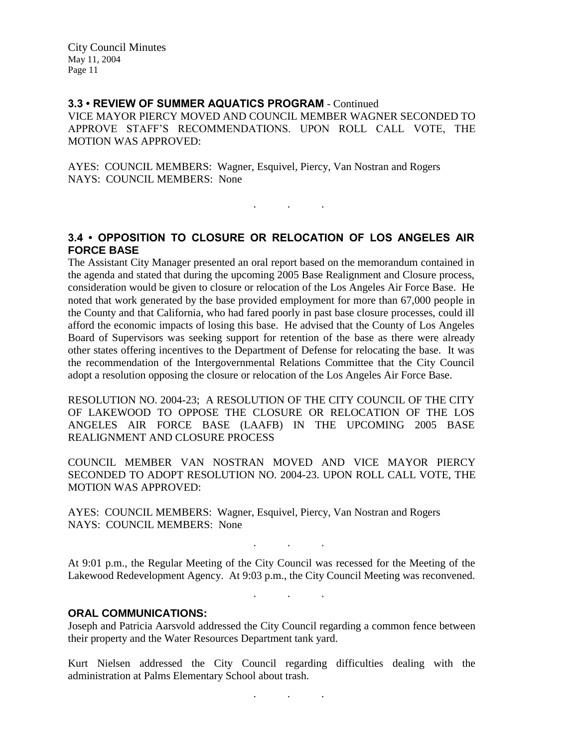### **3.3 • REVIEW OF SUMMER AQUATICS PROGRAM** - Continued

VICE MAYOR PIERCY MOVED AND COUNCIL MEMBER WAGNER SECONDED TO APPROVE STAFF'S RECOMMENDATIONS. UPON ROLL CALL VOTE, THE MOTION WAS APPROVED:

AYES: COUNCIL MEMBERS: Wagner, Esquivel, Piercy, Van Nostran and Rogers NAYS: COUNCIL MEMBERS: None

## **3.4 • OPPOSITION TO CLOSURE OR RELOCATION OF LOS ANGELES AIR FORCE BASE**

. As we have the set of  $\mathcal{A}$  , and  $\mathcal{A}$ 

The Assistant City Manager presented an oral report based on the memorandum contained in the agenda and stated that during the upcoming 2005 Base Realignment and Closure process, consideration would be given to closure or relocation of the Los Angeles Air Force Base. He noted that work generated by the base provided employment for more than 67,000 people in the County and that California, who had fared poorly in past base closure processes, could ill afford the economic impacts of losing this base. He advised that the County of Los Angeles Board of Supervisors was seeking support for retention of the base as there were already other states offering incentives to the Department of Defense for relocating the base. It was the recommendation of the Intergovernmental Relations Committee that the City Council adopt a resolution opposing the closure or relocation of the Los Angeles Air Force Base.

RESOLUTION NO. 2004-23; A RESOLUTION OF THE CITY COUNCIL OF THE CITY OF LAKEWOOD TO OPPOSE THE CLOSURE OR RELOCATION OF THE LOS ANGELES AIR FORCE BASE (LAAFB) IN THE UPCOMING 2005 BASE REALIGNMENT AND CLOSURE PROCESS

COUNCIL MEMBER VAN NOSTRAN MOVED AND VICE MAYOR PIERCY SECONDED TO ADOPT RESOLUTION NO. 2004-23. UPON ROLL CALL VOTE, THE MOTION WAS APPROVED:

AYES: COUNCIL MEMBERS: Wagner, Esquivel, Piercy, Van Nostran and Rogers NAYS: COUNCIL MEMBERS: None

At 9:01 p.m., the Regular Meeting of the City Council was recessed for the Meeting of the Lakewood Redevelopment Agency. At 9:03 p.m., the City Council Meeting was reconvened.

. . .

. . .

### **ORAL COMMUNICATIONS:**

Joseph and Patricia Aarsvold addressed the City Council regarding a common fence between their property and the Water Resources Department tank yard.

Kurt Nielsen addressed the City Council regarding difficulties dealing with the administration at Palms Elementary School about trash.

. . .